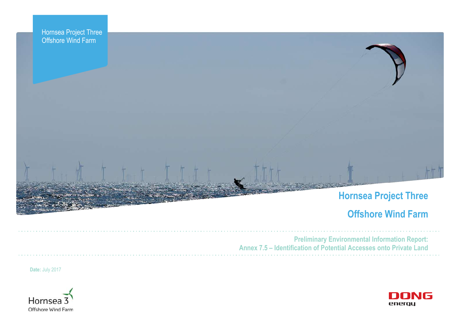

# **Offshore Wind Farm**



**Preliminary Environmental Information Report: Annex 7.5 – Identification of Potential Accesses onto Private Land**

**Date:** July 2017

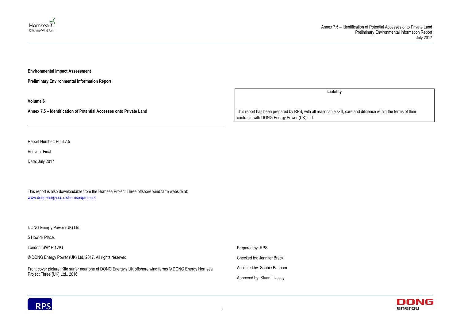## Annex 7.5 – Identification of Potential Accesses onto Private Land Preliminary Environmental Information Report July 2017





**Environmental Impact Assessment** 

**Preliminary Environmental Information Report**

**Volume 6**

**Annex 7.5 – Identification of Potential Accesses onto Private Land**

Report Number: P6.6.7.5

Version: Final

Date: July 2017

This report is also downloadable from the Hornsea Project Three offshore wind farm website at: [www.dongenergy.co.uk/hornseaproject3](http://www.dongenergy.co.uk/hornseaproject3)

DONG Energy Power (UK) Ltd.

5 Howick Place,

**Liability**

London, SW1P 1WG © DONG Energy Power (UK) Ltd, 2017. All rights reserved Front cover picture: Kite surfer near one of DONG Energy's UK offshore wind farms © DONG Energy Hornsea Project Three (UK) Ltd., 2016. Prepared by: RPS Checked by: Jennifer Brack Accepted by: Sophie Banham Approved by: Stuart Livesey



This report has been prepared by RPS, with all reasonable skill, care and diligence within the terms of their contracts with DONG Energy Power (UK) Ltd.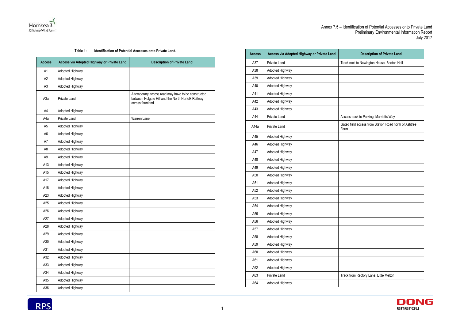# Annex 7.5 – Identification of Potential Accesses onto Private Land Preliminary Environmental Information Report July 2017

| <b>Description of Private Land</b>                |  |  |  |
|---------------------------------------------------|--|--|--|
| next to Newington House, Booton Hall              |  |  |  |
|                                                   |  |  |  |
|                                                   |  |  |  |
|                                                   |  |  |  |
|                                                   |  |  |  |
|                                                   |  |  |  |
|                                                   |  |  |  |
| ss track to Parking, Marriotts Way                |  |  |  |
| d field access from Station Road north of Ashtree |  |  |  |
|                                                   |  |  |  |
|                                                   |  |  |  |
|                                                   |  |  |  |
|                                                   |  |  |  |
|                                                   |  |  |  |
|                                                   |  |  |  |
|                                                   |  |  |  |
|                                                   |  |  |  |
|                                                   |  |  |  |
|                                                   |  |  |  |
|                                                   |  |  |  |
|                                                   |  |  |  |
|                                                   |  |  |  |
|                                                   |  |  |  |
|                                                   |  |  |  |
|                                                   |  |  |  |
|                                                   |  |  |  |
|                                                   |  |  |  |
| from Rectory Lane, Little Melton                  |  |  |  |
|                                                   |  |  |  |





### **Table 1: Identification of Potential Accesses onto Private Land.**

| <b>Access</b>    | Access via Adopted Highway or Private Land | <b>Description of Private Land</b>                                                                                          |
|------------------|--------------------------------------------|-----------------------------------------------------------------------------------------------------------------------------|
| A <sub>1</sub>   | Adopted Highway                            |                                                                                                                             |
| A2               | Adopted Highway                            |                                                                                                                             |
| A <sub>3</sub>   | Adopted Highway                            |                                                                                                                             |
| A <sub>3</sub> a | Private Land                               | A temporary access road may have to be constructed<br>between Holgate Hill and the North Norfolk Railway<br>across farmland |
| A4               | Adopted Highway                            |                                                                                                                             |
| A4a              | Private Land                               | Warren Lane                                                                                                                 |
| A <sub>5</sub>   | Adopted Highway                            |                                                                                                                             |
| A <sub>6</sub>   | Adopted Highway                            |                                                                                                                             |
| A7               | Adopted Highway                            |                                                                                                                             |
| A <sub>8</sub>   | Adopted Highway                            |                                                                                                                             |
| A <sub>9</sub>   | Adopted Highway                            |                                                                                                                             |
| A13              | Adopted Highway                            |                                                                                                                             |
| A15              | Adopted Highway                            |                                                                                                                             |
| A17              | Adopted Highway                            |                                                                                                                             |
| A18              | Adopted Highway                            |                                                                                                                             |
| A23              | Adopted Highway                            |                                                                                                                             |
| A25              | Adopted Highway                            |                                                                                                                             |
| A26              | Adopted Highway                            |                                                                                                                             |
| A27              | Adopted Highway                            |                                                                                                                             |
| A28              | Adopted Highway                            |                                                                                                                             |
| A29              | Adopted Highway                            |                                                                                                                             |
| A30              | Adopted Highway                            |                                                                                                                             |
| A31              | Adopted Highway                            |                                                                                                                             |
| A32              | Adopted Highway                            |                                                                                                                             |
| A33              | Adopted Highway                            |                                                                                                                             |
| A34              | Adopted Highway                            |                                                                                                                             |
| A35              | Adopted Highway                            |                                                                                                                             |
| A36              | Adopted Highway                            |                                                                                                                             |
|                  |                                            |                                                                                                                             |

| <b>Access</b> | Access via Adopted Highway or Private Land | <b>Description of Private Land</b>                            |
|---------------|--------------------------------------------|---------------------------------------------------------------|
| A37           | Private Land                               | Track next to Newington House, Booton Hall                    |
| A38           | Adopted Highway                            |                                                               |
| A39           | Adopted Highway                            |                                                               |
| A40           | Adopted Highway                            |                                                               |
| A41           | Adopted Highway                            |                                                               |
| A42           | Adopted Highway                            |                                                               |
| A43           | Adopted Highway                            |                                                               |
| A44           | Private Land                               | Access track to Parking, Marriotts Way                        |
| A44a          | Private Land                               | Gated field access from Station Road north of Ashtree<br>Farm |
| A45           | Adopted Highway                            |                                                               |
| A46           | Adopted Highway                            |                                                               |
| A47           | Adopted Highway                            |                                                               |
| A48           | Adopted Highway                            |                                                               |
| A49           | Adopted Highway                            |                                                               |
| A50           | Adopted Highway                            |                                                               |
| A51           | Adopted Highway                            |                                                               |
| A52           | Adopted Highway                            |                                                               |
| A53           | Adopted Highway                            |                                                               |
| A54           | Adopted Highway                            |                                                               |
| A55           | Adopted Highway                            |                                                               |
| A56           | Adopted Highway                            |                                                               |
| A57           | Adopted Highway                            |                                                               |
| A58           | Adopted Highway                            |                                                               |
| A59           | Adopted Highway                            |                                                               |
| A60           | Adopted Highway                            |                                                               |
| A61           | Adopted Highway                            |                                                               |
| A62           | Adopted Highway                            |                                                               |
| A63           | Private Land                               | Track from Rectory Lane, Little Melton                        |
|               |                                            |                                                               |